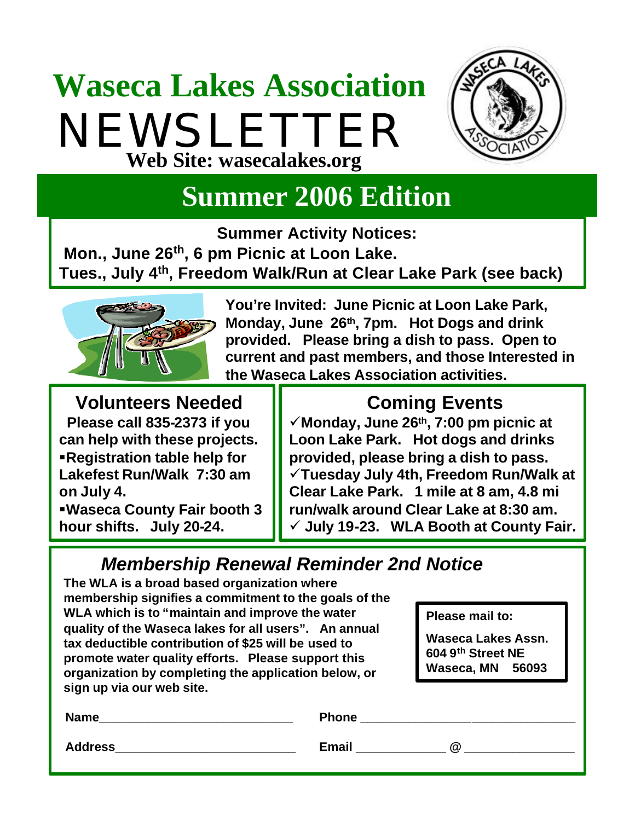## **Waseca Lakes Association** NEWSLETTER **Web Site: wasecalakes.org**



### **Summer 2006 Edition**

**Summer Activity Notices:** 

**Mon., June 26th, 6 pm Picnic at Loon Lake. Tues., July 4th, Freedom Walk/Run at Clear Lake Park (see back)**



**You're Invited: June Picnic at Loon Lake Park, Monday, June 26th, 7pm. Hot Dogs and drink provided. Please bring a dish to pass. Open to current and past members, and those Interested in the Waseca Lakes Association activities.**

#### **Volunteers Needed**

**Please call 835-2373 if you can help with these projects.** ß**Registration table help for Lakefest Run/Walk 7:30 am on July 4.**

ß**Waseca County Fair booth 3 hour shifts. July 20-24.**

#### **Coming Events**

¸**Monday, June 26th, 7:00 pm picnic at Loon Lake Park. Hot dogs and drinks provided, please bring a dish to pass.**  ¸**Tuesday July 4th, Freedom Run/Walk at Clear Lake Park. 1 mile at 8 am, 4.8 mi run/walk around Clear Lake at 8:30 am.** ¸ **July 19-23. WLA Booth at County Fair.**

#### *Membership Renewal Reminder 2nd Notice*

**The WLA is a broad based organization where membership signifies a commitment to the goals of the WLA which is to "maintain and improve the water quality of the Waseca lakes for all users". An annual tax deductible contribution of \$25 will be used to promote water quality efforts. Please support this organization by completing the application below, or sign up via our web site.**

**Please mail to:**

**Waseca Lakes Assn. 604 9th Street NE Waseca, MN 56093** 

| Name           | <b>Phone</b>      |
|----------------|-------------------|
| <b>Address</b> | <b>Email</b><br>@ |